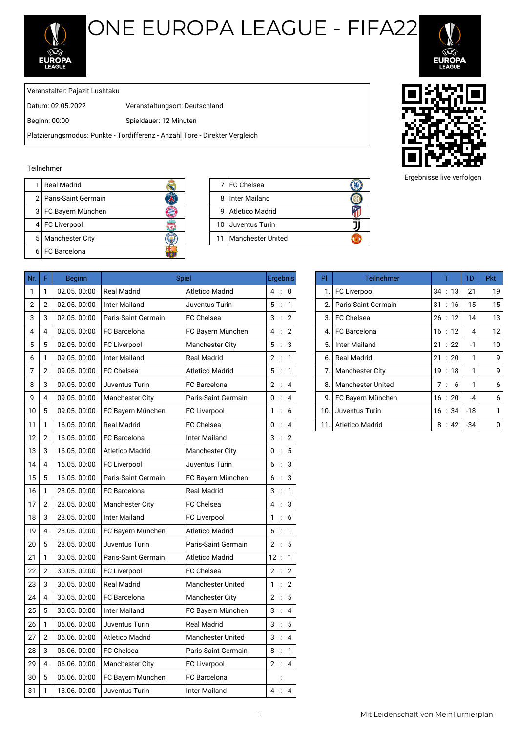

## ONE EUROPA LEAGUE - FIFA22



Veranstalter: Pajazit Lushtaku

Datum: 02.05.2022 Veranstaltungsort: Deutschland

Beginn: 00:00 Spieldauer: 12 Minuten

Platzierungsmodus: Punkte - Tordifferenz - Anzahl Tore - Direkter Vergleich

## Teilnehmer

| l Real Madrid           |   | 7 FC Chelsea           |
|-------------------------|---|------------------------|
| 2   Paris-Saint Germain | 8 | I Inter Mailand        |
| 3   FC Bayern München   | q | Atletico Madrid        |
| 4 FC Liverpool          |   | 10 Juventus Turin      |
| 5   Manchester City     |   | 11   Manchester United |
| 6 FC Barcelona          |   |                        |
|                         |   |                        |

|    | 7 FC Chelsea           |  |
|----|------------------------|--|
| 8  | Inter Mailand          |  |
| 9  | <b>Atletico Madrid</b> |  |
|    | 10 Juventus Turin      |  |
| 11 | l Manchester United    |  |



| F              | <b>Beginn</b> |                        |                          |              |                                                                                                                                                                                                                                                                            | PI. | <b>Teilnehmer</b>        | T         | <b>TD</b>      | <b>Pkt</b>     |
|----------------|---------------|------------------------|--------------------------|--------------|----------------------------------------------------------------------------------------------------------------------------------------------------------------------------------------------------------------------------------------------------------------------------|-----|--------------------------|-----------|----------------|----------------|
| 1              | 02.05.00:00   | <b>Real Madrid</b>     | Atletico Madrid          |              |                                                                                                                                                                                                                                                                            |     | <b>FC Liverpool</b>      | 34:13     | 21             | 1 <sup>c</sup> |
| $\overline{2}$ | 02.05.00:00   | <b>Inter Mailand</b>   | Juventus Turin           |              |                                                                                                                                                                                                                                                                            | 2.  | Paris-Saint Germain      | 31:16     | 15             | 15             |
| 3              | 02.05.00:00   | Paris-Saint Germain    | <b>FC Chelsea</b>        |              |                                                                                                                                                                                                                                                                            | 3.  | <b>FC Chelsea</b>        | 26:12     | 14             | 13             |
| 4              | 02.05.00:00   | FC Barcelona           | FC Bayern München        |              |                                                                                                                                                                                                                                                                            | 4.  | FC Barcelona             | 16:12     | $\overline{4}$ | 12             |
| 5              | 02.05.00:00   | <b>FC Liverpool</b>    | <b>Manchester City</b>   |              |                                                                                                                                                                                                                                                                            | 5.  | <b>Inter Mailand</b>     | 21 : 22   | -1             | 10             |
| 1              | 09.05.00:00   | Inter Mailand          | <b>Real Madrid</b>       |              |                                                                                                                                                                                                                                                                            | 6.  | <b>Real Madrid</b>       | 21 : 20   | 1              | ç              |
| 2              | 09.05.00:00   | <b>FC Chelsea</b>      | <b>Atletico Madrid</b>   |              |                                                                                                                                                                                                                                                                            | 7.  | <b>Manchester City</b>   | 19:18     | 1              | ç              |
| 3              | 09.05.00:00   | Juventus Turin         | FC Barcelona             |              |                                                                                                                                                                                                                                                                            | 8.  | <b>Manchester United</b> | 7:6       | 1              | 6              |
| 4              | 09.05.00:00   | Manchester City        | Paris-Saint Germain      |              |                                                                                                                                                                                                                                                                            | 9.  | FC Bayern München        | 16:20     | $-4$           | $\epsilon$     |
| 5              | 09.05.00:00   | FC Bayern München      | <b>FC Liverpool</b>      |              |                                                                                                                                                                                                                                                                            | 10. | Juventus Turin           | 16:34     | $-18$          | 1              |
| 1              | 16.05.00:00   | <b>Real Madrid</b>     | FC Chelsea               |              |                                                                                                                                                                                                                                                                            |     | <b>Atletico Madrid</b>   | 8:42      | $-34$          | C              |
| $\overline{2}$ | 16.05.00:00   | <b>FC</b> Barcelona    | <b>Inter Mailand</b>     |              |                                                                                                                                                                                                                                                                            |     |                          |           |                |                |
| 3              | 16.05.00:00   | <b>Atletico Madrid</b> | <b>Manchester City</b>   |              |                                                                                                                                                                                                                                                                            |     |                          |           |                |                |
| 4              | 16.05.00:00   | <b>FC Liverpool</b>    | Juventus Turin           |              |                                                                                                                                                                                                                                                                            |     |                          |           |                |                |
| 5              | 16.05.00:00   | Paris-Saint Germain    | FC Bayern München        |              |                                                                                                                                                                                                                                                                            |     |                          |           |                |                |
| 1              | 23.05.00:00   | <b>FC</b> Barcelona    | <b>Real Madrid</b>       |              |                                                                                                                                                                                                                                                                            |     |                          |           |                |                |
| $\mathbf{2}$   | 23.05.00:00   | <b>Manchester City</b> | FC Chelsea               |              |                                                                                                                                                                                                                                                                            |     |                          |           |                |                |
| 3              | 23.05.00:00   | <b>Inter Mailand</b>   | <b>FC Liverpool</b>      |              |                                                                                                                                                                                                                                                                            |     |                          |           |                |                |
| 4              | 23.05.00:00   | FC Bayern München      | <b>Atletico Madrid</b>   |              |                                                                                                                                                                                                                                                                            |     |                          |           |                |                |
| 5              | 23.05.00:00   | Juventus Turin         | Paris-Saint Germain      |              |                                                                                                                                                                                                                                                                            |     |                          |           |                |                |
| 1              | 30.05.00:00   | Paris-Saint Germain    | Atletico Madrid          |              |                                                                                                                                                                                                                                                                            |     |                          |           |                |                |
| $\mathbf{2}$   | 30.05.00:00   | FC Liverpool           | <b>FC Chelsea</b>        |              |                                                                                                                                                                                                                                                                            |     |                          |           |                |                |
| 3              | 30.05.00:00   | <b>Real Madrid</b>     | Manchester United        |              |                                                                                                                                                                                                                                                                            |     |                          |           |                |                |
| 4              | 30.05.00:00   | FC Barcelona           | <b>Manchester City</b>   |              |                                                                                                                                                                                                                                                                            |     |                          |           |                |                |
| 5              | 30.05, 00:00  | <b>Inter Mailand</b>   | FC Bayern München        |              |                                                                                                                                                                                                                                                                            |     |                          |           |                |                |
| 1              | 06.06.00:00   | Juventus Turin         | <b>Real Madrid</b>       |              |                                                                                                                                                                                                                                                                            |     |                          |           |                |                |
| $\overline{2}$ | 06.06.00:00   | <b>Atletico Madrid</b> | <b>Manchester United</b> |              |                                                                                                                                                                                                                                                                            |     |                          |           |                |                |
| 3              | 06.06.00:00   | FC Chelsea             | Paris-Saint Germain      |              |                                                                                                                                                                                                                                                                            |     |                          |           |                |                |
| 4              | 06.06.00:00   | <b>Manchester City</b> | <b>FC Liverpool</b>      |              |                                                                                                                                                                                                                                                                            |     |                          |           |                |                |
| 5              | 06.06.00:00   | FC Bayern München      | FC Barcelona             |              |                                                                                                                                                                                                                                                                            |     |                          |           |                |                |
| 1              | 13.06.00:00   | Juventus Turin         | <b>Inter Mailand</b>     |              |                                                                                                                                                                                                                                                                            |     |                          |           |                |                |
|                |               |                        |                          | <b>Spiel</b> | <b>Ergebnis</b><br>4:0<br>5 : 1<br>3:2<br>4 : 2<br>5 : 3<br>2 : 1<br>5 : 1<br>2 : 4<br>0 : 4<br>1 : 6<br>0 : 4<br>3:2<br>0 : 5<br>6:3<br>6:3<br>3 : 1<br>4 : 3<br>1:6<br>6:1<br>2 : 5<br>12:1<br>2 : 2<br>1 : 2<br>2 : 5<br>3 : 4<br>3 : 5<br>3:4<br>8:1<br>2 : 4<br>4 : 4 |     |                          | 1.<br>11. |                |                |

| PI  | Teilnehmer               |                       | TD   | <b>Pkt</b> |
|-----|--------------------------|-----------------------|------|------------|
| 1.  | <b>FC Liverpool</b>      | 34:13                 | 21   | 19         |
| 2.  | Paris-Saint Germain      | 31:16                 | 15   | 15         |
| 3.  | FC Chelsea               | 26:12                 | 14   | 13         |
| 4.  | FC Barcelona             | 16:12                 | 4    | 12         |
| 5.  | Inter Mailand            | $\therefore$ 22<br>21 | $-1$ | 10         |
| 6.  | <b>Real Madrid</b>       | $\therefore$ 20<br>21 | 1    | 9          |
| 7.  | <b>Manchester City</b>   | 19:18                 | 1    | 9          |
| 8.  | <b>Manchester United</b> | 7:<br>6               | 1    | 6          |
| 9.  | FC Bayern München        | 16:20                 | -4   | 6          |
| 10. | Juventus Turin           | 16 : 34               | -18  | 1          |
| 11. | Atletico Madrid          | 8:42                  | -34  | n          |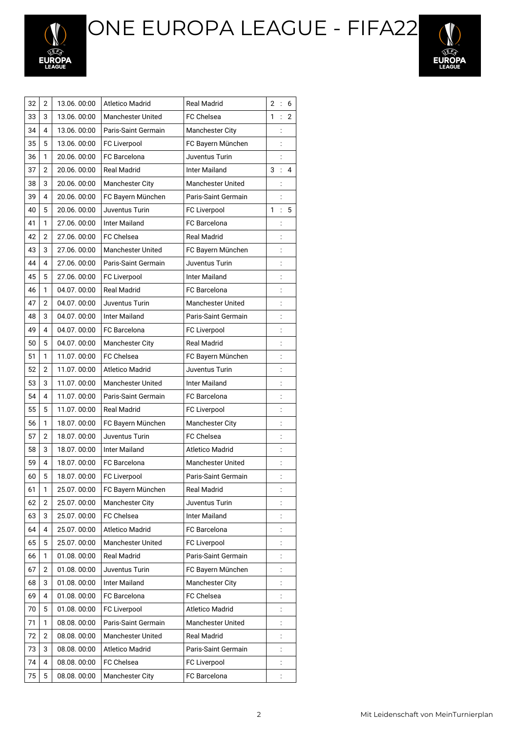ONE EUROPA LEAGUE - FIFA22





| 32 | 2              | 13.06.00:00 | <b>Atletico Madrid</b>   | <b>Real Madrid</b>       | $\overline{2}$ | $\vdots$       | 6              |
|----|----------------|-------------|--------------------------|--------------------------|----------------|----------------|----------------|
| 33 | 3              | 13.06.00:00 | <b>Manchester United</b> | FC Chelsea               | 1              |                | $\overline{2}$ |
| 34 | 4              | 13.06.00:00 | Paris-Saint Germain      | <b>Manchester City</b>   |                |                |                |
| 35 | 5              | 13.06.00:00 | <b>FC Liverpool</b>      | FC Bayern München        |                |                |                |
| 36 | 1              | 20.06.00:00 | FC Barcelona             | Juventus Turin           |                | $\vdots$       |                |
| 37 | 2              | 20.06.00:00 | <b>Real Madrid</b>       | Inter Mailand            | 3              |                | 4              |
| 38 | 3              | 20.06.00:00 | Manchester City          | <b>Manchester United</b> |                |                |                |
| 39 | 4              | 20.06.00:00 | FC Bayern München        | Paris-Saint Germain      |                |                |                |
| 40 | 5              | 20.06.00:00 | Juventus Turin           | FC Liverpool             | 1              | $\vdots$       | 5              |
| 41 | 1              | 27.06.00:00 | <b>Inter Mailand</b>     | FC Barcelona             |                | $\vdots$       |                |
| 42 | 2              | 27.06.00:00 | <b>FC Chelsea</b>        | <b>Real Madrid</b>       |                |                |                |
| 43 | 3              | 27.06.00:00 | <b>Manchester United</b> | FC Bayern München        |                |                |                |
| 44 | 4              | 27.06.00:00 | Paris-Saint Germain      | Juventus Turin           |                | $\vdots$       |                |
| 45 | 5              | 27.06.00:00 | FC Liverpool             | Inter Mailand            |                | $\vdots$       |                |
| 46 | 1              | 04.07.00:00 | <b>Real Madrid</b>       | <b>FC</b> Barcelona      |                | $\vdots$       |                |
| 47 | $\overline{2}$ | 04.07.00:00 | Juventus Turin           | <b>Manchester United</b> |                | $\vdots$       |                |
| 48 | 3              | 04.07.00:00 | <b>Inter Mailand</b>     | Paris-Saint Germain      |                | $\vdots$       |                |
| 49 | 4              | 04.07.00:00 | FC Barcelona             | <b>FC Liverpool</b>      |                |                |                |
| 50 | 5              | 04.07.00:00 | Manchester City          | <b>Real Madrid</b>       |                | $\vdots$       |                |
| 51 | 1              | 11.07.00:00 | <b>FC Chelsea</b>        | FC Bayern München        |                | $\vdots$       |                |
| 52 | 2              | 11.07.00:00 | <b>Atletico Madrid</b>   | Juventus Turin           |                | $\vdots$       |                |
| 53 | 3              | 11.07.00:00 | <b>Manchester United</b> | Inter Mailand            |                |                |                |
| 54 | 4              | 11.07.00:00 | Paris-Saint Germain      | FC Barcelona             |                | $\vdots$       |                |
| 55 | 5              | 11.07.00:00 | <b>Real Madrid</b>       | FC Liverpool             |                | $\vdots$       |                |
| 56 | 1              | 18.07.00:00 | FC Bayern München        | <b>Manchester City</b>   |                | $\vdots$       |                |
| 57 | $\overline{2}$ | 18.07.00:00 | Juventus Turin           | <b>FC Chelsea</b>        |                |                |                |
| 58 | 3              | 18.07.00:00 | <b>Inter Mailand</b>     | Atletico Madrid          |                | $\vdots$       |                |
| 59 | 4              | 18.07.00:00 | FC Barcelona             | <b>Manchester United</b> |                | $\vdots$       |                |
| 60 | 5              | 18.07.00:00 | FC Liverpool             | Paris-Saint Germain      |                | $\vdots$       |                |
| 61 | 1              | 25.07.00:00 | FC Bayern München        | Real Madrid              |                |                |                |
| 62 | 2              | 25.07.00:00 | <b>Manchester City</b>   | Juventus Turin           |                |                |                |
| 63 | 3              | 25.07.00:00 | FC Chelsea               | Inter Mailand            |                |                |                |
| 64 | 4              | 25.07.00:00 | <b>Atletico Madrid</b>   | FC Barcelona             |                |                |                |
| 65 | 5              | 25.07.00:00 | <b>Manchester United</b> | FC Liverpool             |                |                |                |
| 66 | 1              | 01.08.00:00 | Real Madrid              | Paris-Saint Germain      |                | $\vdots$       |                |
| 67 | 2              | 01.08.00:00 | Juventus Turin           | FC Bayern München        |                |                |                |
| 68 | 3              | 01.08.00:00 | <b>Inter Mailand</b>     | <b>Manchester City</b>   |                | $\vdots$       |                |
| 69 | 4              | 01.08.00:00 | <b>FC</b> Barcelona      | FC Chelsea               |                | $\vdots$       |                |
| 70 | 5              | 01.08.00:00 | FC Liverpool             | <b>Atletico Madrid</b>   |                | $\vdots$       |                |
| 71 | 1              | 08.08.00:00 | Paris-Saint Germain      | <b>Manchester United</b> |                |                |                |
| 72 | $\overline{2}$ | 08.08.00:00 | Manchester United        | <b>Real Madrid</b>       |                |                |                |
| 73 | 3              | 08.08.00:00 | Atletico Madrid          | Paris-Saint Germain      |                | $\vdots$       |                |
| 74 | 4              | 08.08.00:00 | FC Chelsea               | FC Liverpool             |                | $\ddot{\cdot}$ |                |
| 75 | 5              | 08.08.00:00 | Manchester City          | FC Barcelona             |                | $\ddot{\cdot}$ |                |